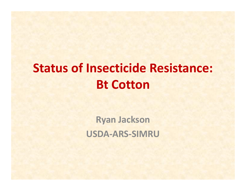# **Status of Insecticide Resistance: Bt Cotton**

**Ryan Jackson USDA‐ARS‐SIMRU**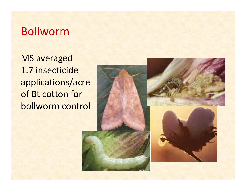# Bollworm

MS averaged 1.7 insecticide applications/acre of Bt cotton for bollworm control

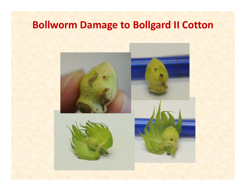# **Bollworm Damage to Bollgard II Cotton**

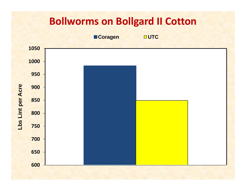### **Bollworms on Bollgard II Cotton**

**Coragen** 

**OUTC** 

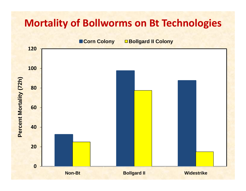### **Mortality of Bollworms on Bt Technologies**

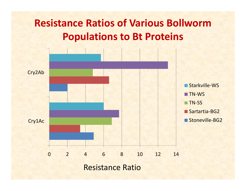# **Resistance Ratios of Various BollwormPopulations to Bt Proteins**

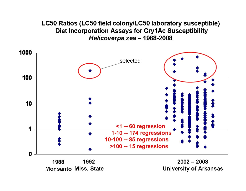#### LC50 Ratios (LC50 field colony/LC50 laboratory susceptible) Diet Incorporation Assays for Cry1Ac Susceptibility Helicoverpa zea - 1988-2008



**Monsanto Miss. State** 

**University of Arkansas**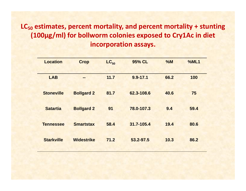### **LC<sub>50</sub> estimates, percent mortality, and percent mortality + stunting (100µg/ml) for bollworm colonies exposed to Cry1Ac in diet incorporation assays.**

| <b>Location</b>   | <b>Crop</b>       | $LC_{50}$ | 95% CL       | %M   | %ML1 |
|-------------------|-------------------|-----------|--------------|------|------|
|                   |                   |           |              |      |      |
| <b>LAB</b>        | $=$               | 11.7      | $9.9 - 17.1$ | 66.2 | 100  |
|                   |                   |           |              |      |      |
| <b>Stoneville</b> | <b>Bollgard 2</b> | 81.7      | 62.3-108.6   | 40.6 | 75   |
|                   |                   |           |              |      |      |
| <b>Satartia</b>   | <b>Bollgard 2</b> | 91        | 78.0-107.3   | 9.4  | 59.4 |
|                   |                   |           |              |      |      |
| <b>Tennessee</b>  | <b>Smartstax</b>  | 58.4      | 31.7-105.4   | 19.4 | 80.6 |
|                   |                   |           |              |      |      |
| <b>Starkville</b> | <b>Widestrike</b> | 71.2      | 53.2-97.5    | 10.3 | 86.2 |
|                   |                   |           |              |      |      |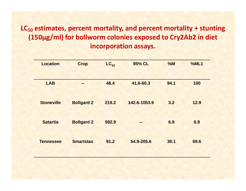### **LC<sub>50</sub> estimates, percent mortality, and percent mortality + stunting** (150µg/ml) for bollworm colonies exposed to Cry2Ab2 in diet **incorporation assays.**

| <b>Location</b>   | <b>Crop</b>       | $LC_{50}$ | 95% CL       | %M   | %ML1 |
|-------------------|-------------------|-----------|--------------|------|------|
|                   |                   |           |              |      |      |
| <b>LAB</b>        | --                | 48.4      | 41.6-60.3    | 94.1 | 100  |
|                   |                   |           |              |      |      |
| <b>Stoneville</b> | <b>Bollgard 2</b> | 219.2     | 142.6-1053.9 | 3.2  | 12.9 |
|                   |                   |           |              |      |      |
| <b>Satartia</b>   | <b>Bollgard 2</b> | 592.9     | --           | 6.9  | 6.9  |
|                   |                   |           |              |      |      |
| <b>Tennessee</b>  | <b>Smartstax</b>  | 91.2      | 54.9-205.6   | 39.1 | 69.6 |
|                   |                   |           |              |      |      |